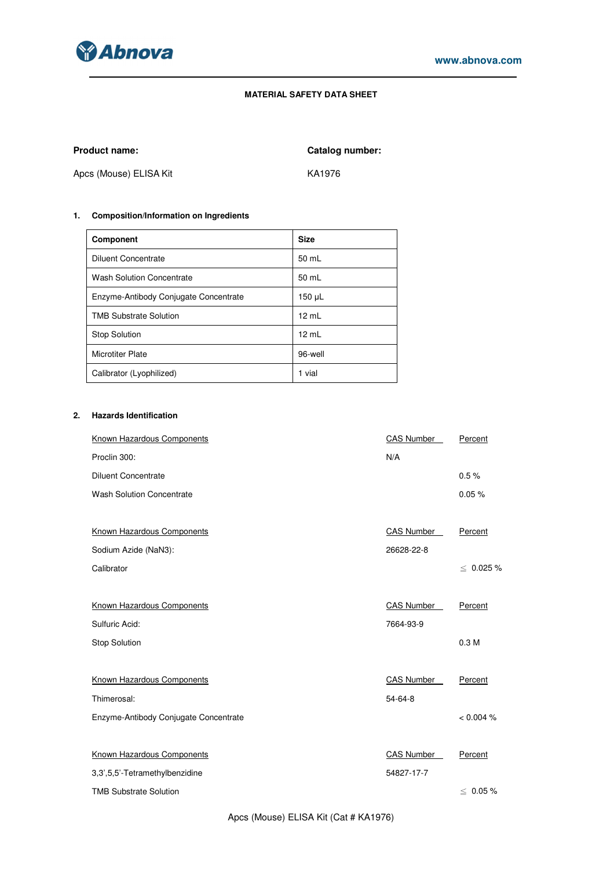

## **MATERIAL SAFETY DATA SHEET**

Product name: **Catalog number: Catalog number:** 

Apcs (Mouse) ELISA Kit KA1976

# **1. Composition/Information on Ingredients**

| <b>Component</b>                      | <b>Size</b>     |
|---------------------------------------|-----------------|
| <b>Diluent Concentrate</b>            | 50 mL           |
| <b>Wash Solution Concentrate</b>      | 50 mL           |
| Enzyme-Antibody Conjugate Concentrate | 150 µL          |
| <b>TMB Substrate Solution</b>         | $12 \text{ mL}$ |
| <b>Stop Solution</b>                  | 12 mL           |
| <b>Microtiter Plate</b>               | 96-well         |
| Calibrator (Lyophilized)              | 1 vial          |

# **2. Hazards Identification**

| Known Hazardous Components            | <b>CAS Number</b> | Percent          |
|---------------------------------------|-------------------|------------------|
| Proclin 300:                          | N/A               |                  |
| <b>Diluent Concentrate</b>            |                   | 0.5%             |
| <b>Wash Solution Concentrate</b>      |                   | 0.05%            |
|                                       |                   |                  |
| Known Hazardous Components            | <b>CAS Number</b> | Percent          |
| Sodium Azide (NaN3):                  | 26628-22-8        |                  |
| Calibrator                            |                   | $\leq 0.025 \%$  |
|                                       |                   |                  |
| Known Hazardous Components            | <b>CAS Number</b> | Percent          |
| Sulfuric Acid:                        | 7664-93-9         |                  |
| <b>Stop Solution</b>                  |                   | 0.3 <sub>M</sub> |
|                                       |                   |                  |
| Known Hazardous Components            | <b>CAS Number</b> | Percent          |
| Thimerosal:                           | 54-64-8           |                  |
| Enzyme-Antibody Conjugate Concentrate |                   | < 0.004 %        |
|                                       |                   |                  |
| Known Hazardous Components            | <b>CAS Number</b> | Percent          |
| 3,3',5,5'-Tetramethylbenzidine        | 54827-17-7        |                  |
| <b>TMB Substrate Solution</b>         |                   | $\leq 0.05 \%$   |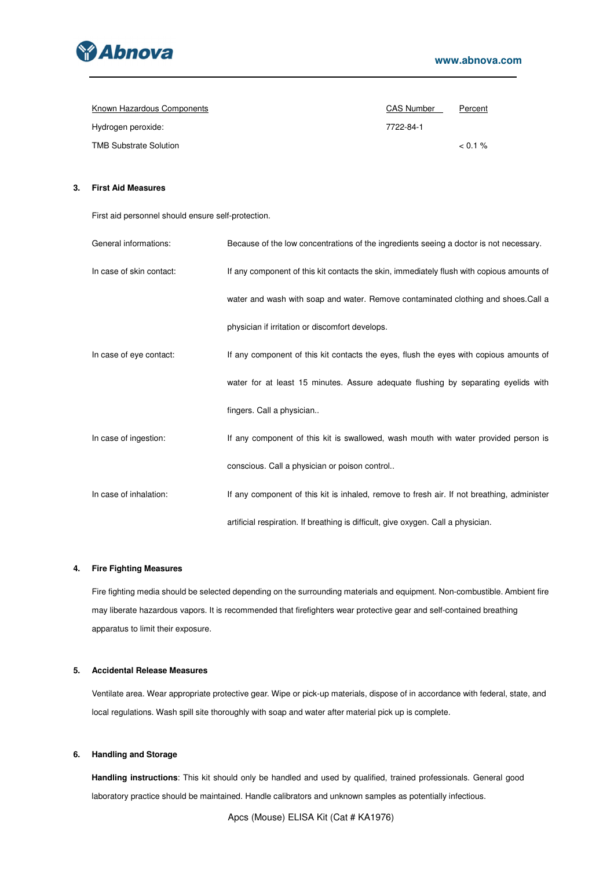

| Known Hazardous Components    | <b>CAS Number</b> | Percent |
|-------------------------------|-------------------|---------|
| Hydrogen peroxide:            | 7722-84-1         |         |
| <b>TMB Substrate Solution</b> |                   | $0.1\%$ |

## **3. First Aid Measures**

First aid personnel should ensure self-protection.

| General informations:    | Because of the low concentrations of the ingredients seeing a doctor is not necessary.     |
|--------------------------|--------------------------------------------------------------------------------------------|
| In case of skin contact: | If any component of this kit contacts the skin, immediately flush with copious amounts of  |
|                          | water and wash with soap and water. Remove contaminated clothing and shoes. Call a         |
|                          | physician if irritation or discomfort develops.                                            |
| In case of eye contact:  | If any component of this kit contacts the eyes, flush the eyes with copious amounts of     |
|                          | water for at least 15 minutes. Assure adequate flushing by separating eyelids with         |
|                          | fingers. Call a physician                                                                  |
| In case of ingestion:    | If any component of this kit is swallowed, wash mouth with water provided person is        |
|                          | conscious. Call a physician or poison control                                              |
| In case of inhalation:   | If any component of this kit is inhaled, remove to fresh air. If not breathing, administer |
|                          | artificial respiration. If breathing is difficult, give oxygen. Call a physician.          |

## **4. Fire Fighting Measures**

Fire fighting media should be selected depending on the surrounding materials and equipment. Non-combustible. Ambient fire may liberate hazardous vapors. It is recommended that firefighters wear protective gear and self-contained breathing apparatus to limit their exposure.

## **5. Accidental Release Measures**

Ventilate area. Wear appropriate protective gear. Wipe or pick-up materials, dispose of in accordance with federal, state, and local regulations. Wash spill site thoroughly with soap and water after material pick up is complete.

## **6. Handling and Storage**

**Handling instructions**: This kit should only be handled and used by qualified, trained professionals. General good laboratory practice should be maintained. Handle calibrators and unknown samples as potentially infectious.

Apcs (Mouse) ELISA Kit (Cat # KA1976)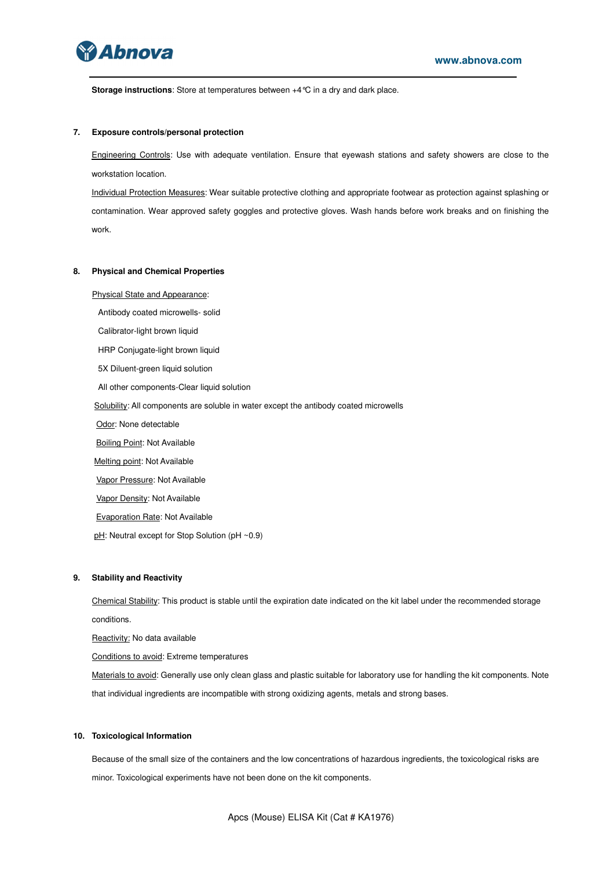

**Storage instructions**: Store at temperatures between +4°C in a dry and dark place.

#### **7. Exposure controls/personal protection**

Engineering Controls: Use with adequate ventilation. Ensure that eyewash stations and safety showers are close to the workstation location.

Individual Protection Measures: Wear suitable protective clothing and appropriate footwear as protection against splashing or contamination. Wear approved safety goggles and protective gloves. Wash hands before work breaks and on finishing the work.

#### **8. Physical and Chemical Properties**

Physical State and Appearance:

Antibody coated microwells- solid

Calibrator-light brown liquid

HRP Conjugate-light brown liquid

5X Diluent-green liquid solution

All other components-Clear liquid solution

Solubility: All components are soluble in water except the antibody coated microwells

Odor: None detectable

**Boiling Point: Not Available** 

Melting point: Not Available

Vapor Pressure: Not Available

Vapor Density: Not Available

Evaporation Rate: Not Available

pH: Neutral except for Stop Solution (pH ~0.9)

### **9. Stability and Reactivity**

Chemical Stability: This product is stable until the expiration date indicated on the kit label under the recommended storage conditions.

Reactivity: No data available

Conditions to avoid: Extreme temperatures

Materials to avoid: Generally use only clean glass and plastic suitable for laboratory use for handling the kit components. Note that individual ingredients are incompatible with strong oxidizing agents, metals and strong bases.

#### **10. Toxicological Information**

Because of the small size of the containers and the low concentrations of hazardous ingredients, the toxicological risks are minor. Toxicological experiments have not been done on the kit components.